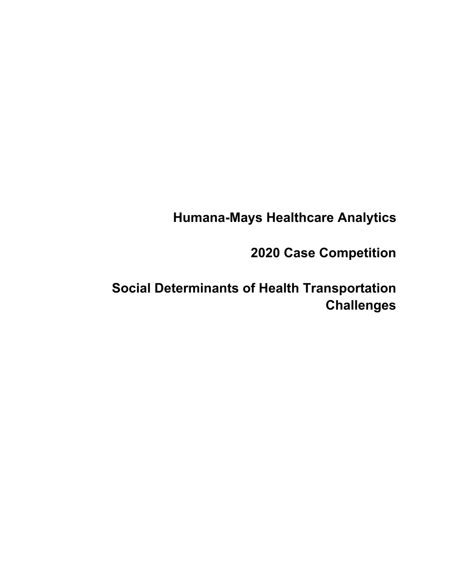## **Humana-Mays Healthcare Analytics**

## **2020 Case Competition**

# **Social Determinants of Health Transportation Challenges**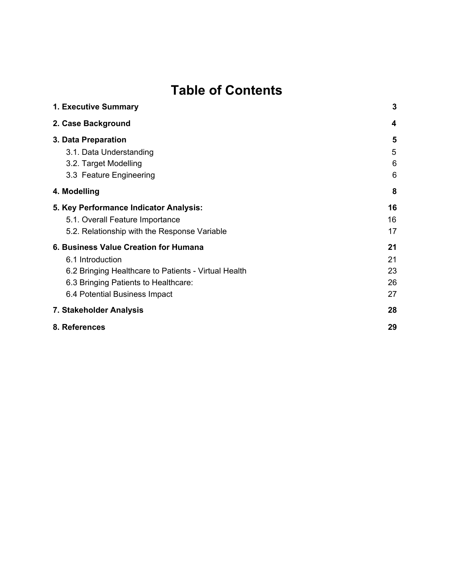# **Table of Contents**

| 1. Executive Summary                                 | 3  |
|------------------------------------------------------|----|
| 2. Case Background                                   | 4  |
| 3. Data Preparation                                  | 5  |
| 3.1. Data Understanding                              | 5  |
| 3.2. Target Modelling                                | 6  |
| 3.3 Feature Engineering                              | 6  |
| 4. Modelling                                         | 8  |
| 5. Key Performance Indicator Analysis:               | 16 |
| 5.1. Overall Feature Importance                      | 16 |
| 5.2. Relationship with the Response Variable         | 17 |
| 6. Business Value Creation for Humana                | 21 |
| 6.1 Introduction                                     | 21 |
| 6.2 Bringing Healthcare to Patients - Virtual Health | 23 |
| 6.3 Bringing Patients to Healthcare:                 | 26 |
| 6.4 Potential Business Impact                        | 27 |
| 7. Stakeholder Analysis                              | 28 |
| 8. References                                        | 29 |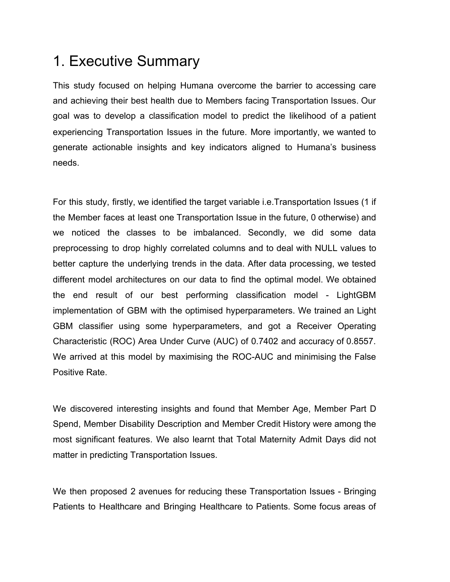# <span id="page-2-0"></span>1. Executive Summary

This study focused on helping Humana overcome the barrier to accessing care and achieving their best health due to Members facing Transportation Issues. Our goal was to develop a classification model to predict the likelihood of a patient experiencing Transportation Issues in the future. More importantly, we wanted to generate actionable insights and key indicators aligned to Humana's business needs.

For this study, firstly, we identified the target variable i.e.Transportation Issues (1 if the Member faces at least one Transportation Issue in the future, 0 otherwise) and we noticed the classes to be imbalanced. Secondly, we did some data preprocessing to drop highly correlated columns and to deal with NULL values to better capture the underlying trends in the data. After data processing, we tested different model architectures on our data to find the optimal model. We obtained the end result of our best performing classification model - LightGBM implementation of GBM with the optimised hyperparameters. We trained an Light GBM classifier using some hyperparameters, and got a Receiver Operating Characteristic (ROC) Area Under Curve (AUC) of 0.7402 and accuracy of 0.8557. We arrived at this model by maximising the ROC-AUC and minimising the False Positive Rate.

We discovered interesting insights and found that Member Age, Member Part D Spend, Member Disability Description and Member Credit History were among the most significant features. We also learnt that Total Maternity Admit Days did not matter in predicting Transportation Issues.

We then proposed 2 avenues for reducing these Transportation Issues - Bringing Patients to Healthcare and Bringing Healthcare to Patients. Some focus areas of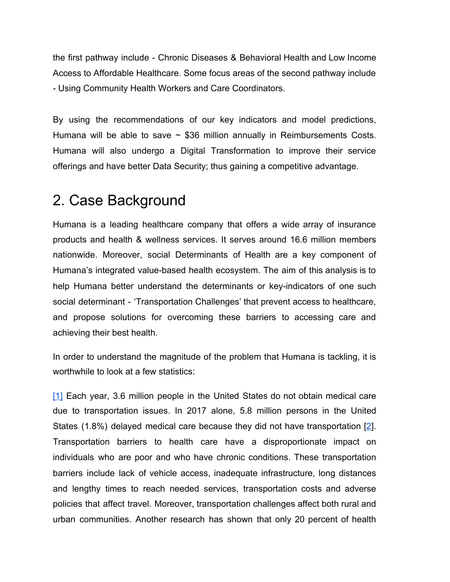the first pathway include - Chronic Diseases & Behavioral Health and Low Income Access to Affordable Healthcare. Some focus areas of the second pathway include - Using Community Health Workers and Care Coordinators.

By using the recommendations of our key indicators and model predictions, Humana will be able to save  $\sim$  \$36 million annually in Reimbursements Costs. Humana will also undergo a Digital Transformation to improve their service offerings and have better Data Security; thus gaining a competitive advantage.

## <span id="page-3-0"></span>2. Case Background

Humana is a leading healthcare company that offers a wide array of insurance products and health & wellness services. It serves around 16.6 million members nationwide. Moreover, social Determinants of Health are a key component of Humana's integrated value-based health ecosystem. The aim of this analysis is to help Humana better understand the determinants or key-indicators of one such social determinant - 'Transportation Challenges' that prevent access to healthcare, and propose solutions for overcoming these barriers to accessing care and achieving their best health.

In order to understand the magnitude of the problem that Humana is tackling, it is worthwhile to look at a few statistics:

[\[1\]](https://journals.sagepub.com/doi/abs/10.1177/0361198105192400110) Each year, 3.6 million people in the United States do not obtain medical care due to transportation issues. In 2017 alone, 5.8 million persons in the United States (1.8%) delayed medical care because they did not have transportation [[2\]](https://ajph.aphapublications.org/doi/10.2105/AJPH.2020.305579). Transportation barriers to health care have a disproportionate impact on individuals who are poor and who have chronic conditions. These transportation barriers include lack of vehicle access, inadequate infrastructure, long distances and lengthy times to reach needed services, transportation costs and adverse policies that affect travel. Moreover, transportation challenges affect both rural and urban communities. Another research has shown that only 20 percent of health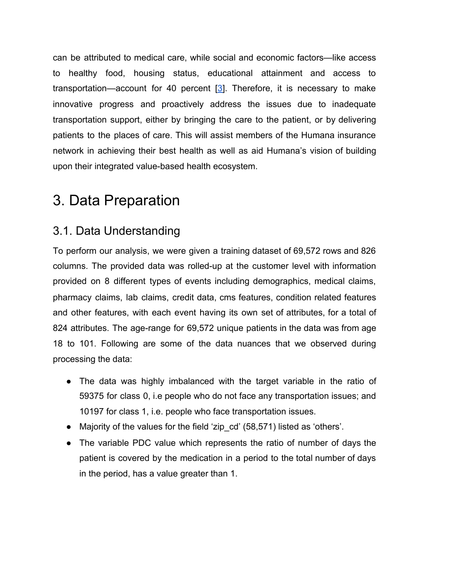can be attributed to medical care, while social and economic factors—like access to healthy food, housing status, educational attainment and access to transportation—account for 40 percent  $[3]$ . Therefore, it is necessary to make innovative progress and proactively address the issues due to inadequate transportation support, either by bringing the care to the patient, or by delivering patients to the places of care. This will assist members of the Humana insurance network in achieving their best health as well as aid Humana's vision of building upon their integrated value-based health ecosystem.

# <span id="page-4-0"></span>3. Data Preparation

## <span id="page-4-1"></span>3.1. Data Understanding

To perform our analysis, we were given a training dataset of 69,572 rows and 826 columns. The provided data was rolled-up at the customer level with information provided on 8 different types of events including demographics, medical claims, pharmacy claims, lab claims, credit data, cms features, condition related features and other features, with each event having its own set of attributes, for a total of 824 attributes. The age-range for 69,572 unique patients in the data was from age 18 to 101. Following are some of the data nuances that we observed during processing the data:

- The data was highly imbalanced with the target variable in the ratio of 59375 for class 0, i.e people who do not face any transportation issues; and 10197 for class 1, i.e. people who face transportation issues.
- Majority of the values for the field 'zip cd' (58,571) listed as 'others'.
- The variable PDC value which represents the ratio of number of days the patient is covered by the medication in a period to the total number of days in the period, has a value greater than 1.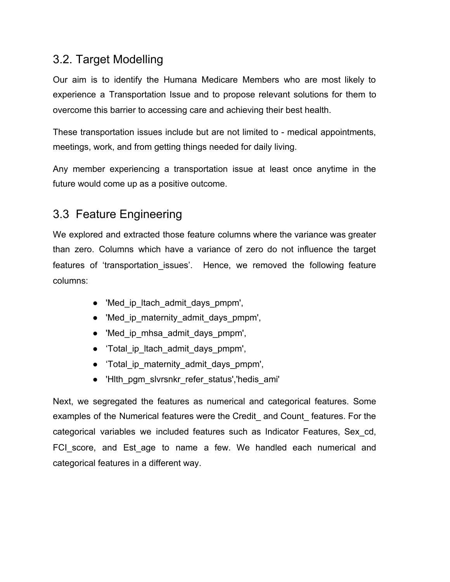## <span id="page-5-0"></span>3.2. Target Modelling

Our aim is to identify the Humana Medicare Members who are most likely to experience a Transportation Issue and to propose relevant solutions for them to overcome this barrier to accessing care and achieving their best health.

These transportation issues include but are not limited to - medical appointments, meetings, work, and from getting things needed for daily living.

Any member experiencing a transportation issue at least once anytime in the future would come up as a positive outcome.

## <span id="page-5-1"></span>3.3 Feature Engineering

We explored and extracted those feature columns where the variance was greater than zero. Columns which have a variance of zero do not influence the target features of 'transportation issues'. Hence, we removed the following feature columns:

- 'Med ip Itach admit days pmpm',
- 'Med ip maternity admit days pmpm',
- 'Med ip mhsa admit days pmpm',
- 'Total ip Itach admit days pmpm',
- 'Total ip maternity admit days pmpm',
- 'Hlth\_pgm\_slvrsnkr\_refer\_status','hedis\_ami'

Next, we segregated the features as numerical and categorical features. Some examples of the Numerical features were the Credit\_ and Count\_ features. For the categorical variables we included features such as Indicator Features, Sex\_cd, FCI score, and Est age to name a few. We handled each numerical and categorical features in a different way.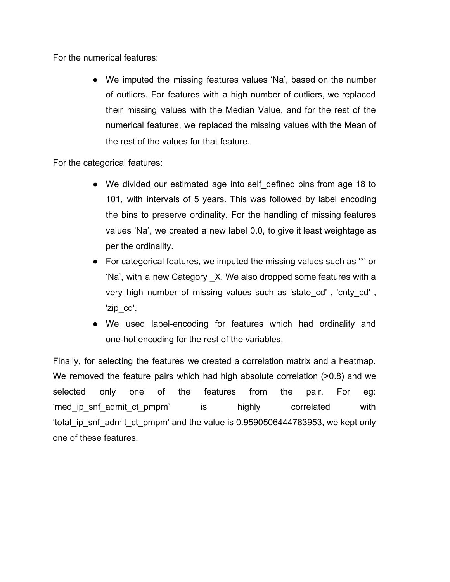For the numerical features:

● We imputed the missing features values 'Na', based on the number of outliers. For features with a high number of outliers, we replaced their missing values with the Median Value, and for the rest of the numerical features, we replaced the missing values with the Mean of the rest of the values for that feature.

For the categorical features:

- We divided our estimated age into self defined bins from age 18 to 101, with intervals of 5 years. This was followed by label encoding the bins to preserve ordinality. For the handling of missing features values 'Na', we created a new label 0.0, to give it least weightage as per the ordinality.
- $\bullet$  For categorical features, we imputed the missing values such as  $\cdot\cdot\cdot$  or 'Na', with a new Category \_X. We also dropped some features with a very high number of missing values such as 'state cd', 'cnty cd', 'zip\_cd'.
- We used label-encoding for features which had ordinality and one-hot encoding for the rest of the variables.

Finally, for selecting the features we created a correlation matrix and a heatmap. We removed the feature pairs which had high absolute correlation (>0.8) and we selected only one of the features from the pair. For eg: 'med ip snf admit ct pmpm' is highly correlated with 'total\_ip\_snf\_admit\_ct\_pmpm' and the value is 0.9590506444783953, we kept only one of these features.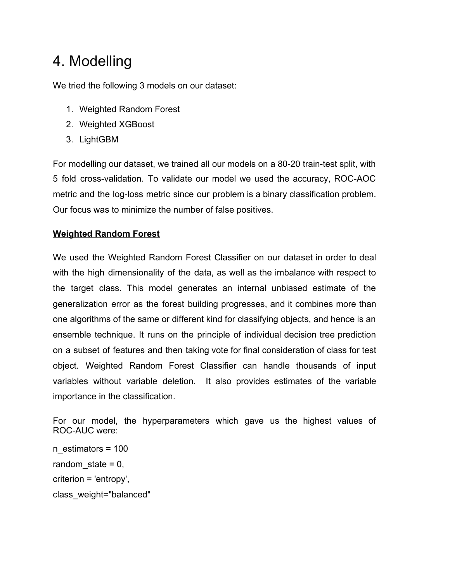# <span id="page-7-0"></span>4. Modelling

We tried the following 3 models on our dataset:

- 1. Weighted Random Forest
- 2. Weighted XGBoost
- 3. LightGBM

For modelling our dataset, we trained all our models on a 80-20 train-test split, with 5 fold cross-validation. To validate our model we used the accuracy, ROC-AOC metric and the log-loss metric since our problem is a binary classification problem. Our focus was to minimize the number of false positives.

### **Weighted Random Forest**

We used the Weighted Random Forest Classifier on our dataset in order to deal with the high dimensionality of the data, as well as the imbalance with respect to the target class. This model generates an internal unbiased estimate of the generalization error as the forest building progresses, and it combines more than one algorithms of the same or different kind for classifying objects, and hence is an ensemble technique. It runs on the principle of individual decision tree prediction on a subset of features and then taking vote for final consideration of class for test object. Weighted Random Forest Classifier can handle thousands of input variables without variable deletion. It also provides estimates of the variable importance in the classification.

For our model, the hyperparameters which gave us the highest values of ROC-AUC were:

n\_estimators = 100 random state  $= 0$ , criterion = 'entropy', class\_weight="balanced"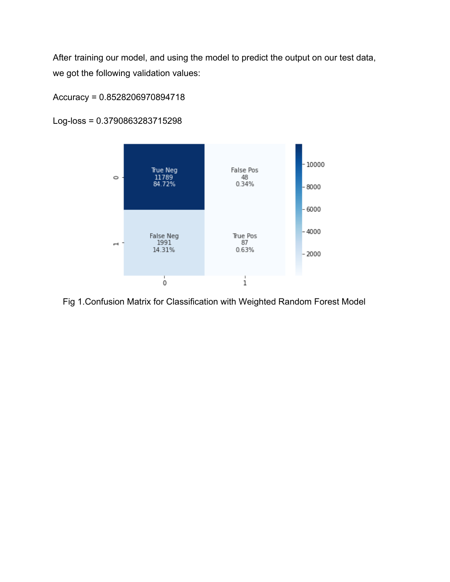After training our model, and using the model to predict the output on our test data, we got the following validation values:

#### Accuracy = 0.8528206970894718



Log-loss = 0.3790863283715298

Fig 1.Confusion Matrix for Classification with Weighted Random Forest Model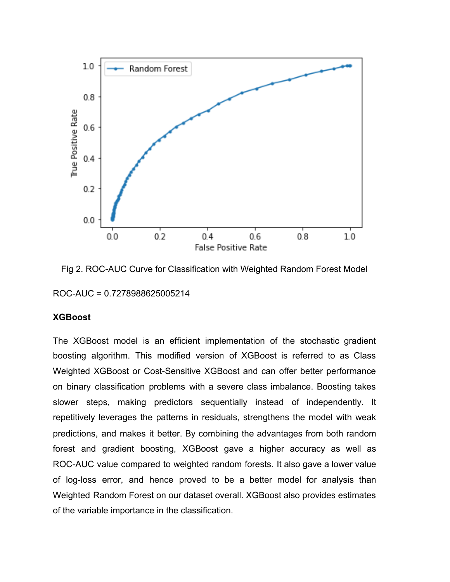

Fig 2. ROC-AUC Curve for Classification with Weighted Random Forest Model ROC-AUC = 0.7278988625005214

#### **XGBoost**

The XGBoost model is an efficient implementation of the stochastic gradient boosting algorithm. This modified version of XGBoost is referred to as Class Weighted XGBoost or Cost-Sensitive XGBoost and can offer better performance on binary classification problems with a severe class imbalance. Boosting takes slower steps, making predictors sequentially instead of independently. It repetitively leverages the patterns in residuals, strengthens the model with weak predictions, and makes it better. By combining the advantages from both random forest and gradient boosting, XGBoost gave a higher accuracy as well as ROC-AUC value compared to weighted random forests. It also gave a lower value of log-loss error, and hence proved to be a better model for analysis than Weighted Random Forest on our dataset overall. XGBoost also provides estimates of the variable importance in the classification.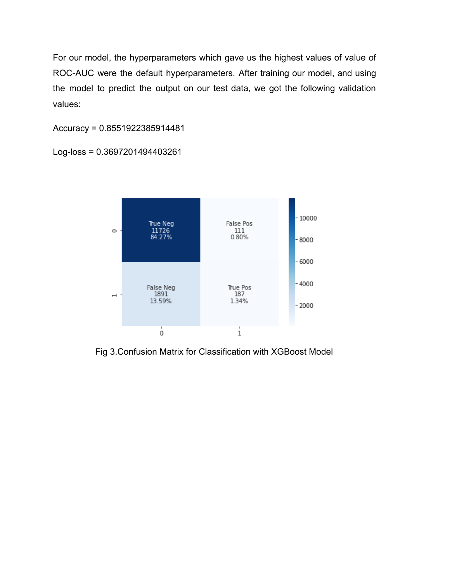For our model, the hyperparameters which gave us the highest values of value of ROC-AUC were the default hyperparameters. After training our model, and using the model to predict the output on our test data, we got the following validation values:

Accuracy = 0.8551922385914481

Log-loss = 0.3697201494403261



Fig 3.Confusion Matrix for Classification with XGBoost Model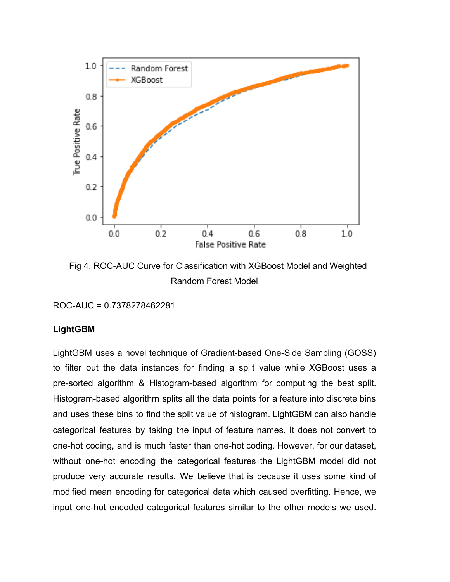

 Fig 4. ROC-AUC Curve for Classification with XGBoost Model and Weighted Random Forest Model

ROC-AUC = 0.7378278462281

#### **LightGBM**

LightGBM uses a novel technique of Gradient-based One-Side Sampling (GOSS) to filter out the data instances for finding a split value while XGBoost uses a pre-sorted algorithm & Histogram-based algorithm for computing the best split. Histogram-based algorithm splits all the data points for a feature into discrete bins and uses these bins to find the split value of histogram. LightGBM can also handle categorical features by taking the input of feature names. It does not convert to one-hot coding, and is much faster than one-hot coding. However, for our dataset, without one-hot encoding the categorical features the LightGBM model did not produce very accurate results. We believe that is because it uses some kind of modified mean encoding for categorical data which caused overfitting. Hence, we input one-hot encoded categorical features similar to the other models we used.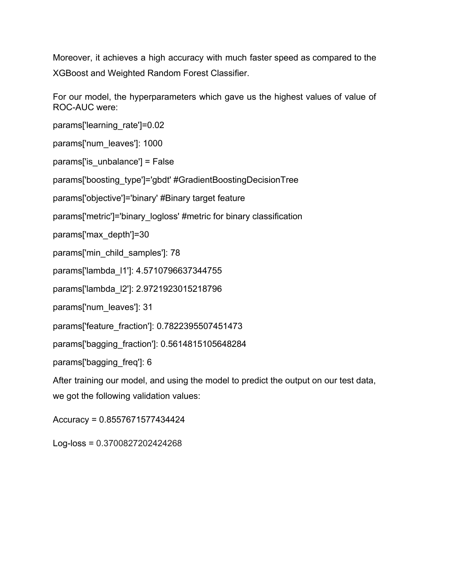Moreover, it achieves a high accuracy with much faster speed as compared to the XGBoost and Weighted Random Forest Classifier.

For our model, the hyperparameters which gave us the highest values of value of ROC-AUC were:

params['learning\_rate']=0.02

params['num\_leaves']: 1000

params['is\_unbalance'] = False

params['boosting\_type']='gbdt' #GradientBoostingDecisionTree

params['objective']='binary' #Binary target feature

params['metric']='binary\_logloss' #metric for binary classification

params['max\_depth']=30

params['min\_child\_samples']: 78

params['lambda\_l1']: 4.5710796637344755

params['lambda\_l2']: 2.9721923015218796

params['num\_leaves']: 31

params['feature\_fraction']: 0.7822395507451473

params['bagging\_fraction']: 0.5614815105648284

params['bagging\_freq']: 6

After training our model, and using the model to predict the output on our test data, we got the following validation values:

Accuracy = 0.8557671577434424

Log-loss = 0.3700827202424268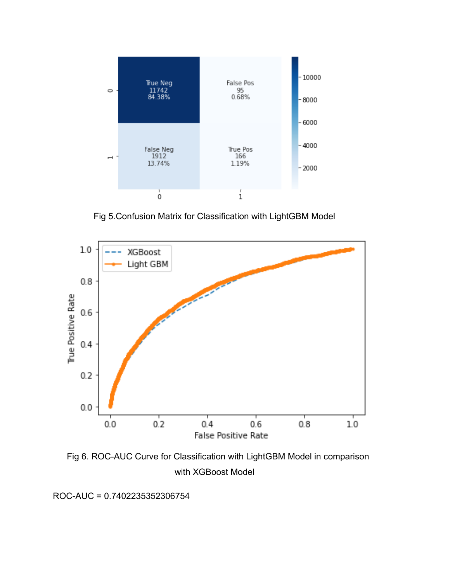

Fig 5.Confusion Matrix for Classification with LightGBM Model



 Fig 6. ROC-AUC Curve for Classification with LightGBM Model in comparison with XGBoost Model

ROC-AUC = 0.7402235352306754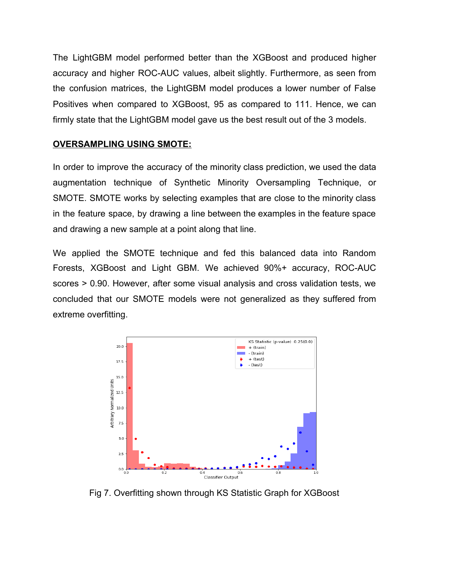The LightGBM model performed better than the XGBoost and produced higher accuracy and higher ROC-AUC values, albeit slightly. Furthermore, as seen from the confusion matrices, the LightGBM model produces a lower number of False Positives when compared to XGBoost, 95 as compared to 111. Hence, we can firmly state that the LightGBM model gave us the best result out of the 3 models.

#### **OVERSAMPLING USING SMOTE:**

In order to improve the accuracy of the minority class prediction, we used the data augmentation technique of Synthetic Minority Oversampling Technique, or SMOTE. SMOTE works by selecting examples that are close to the minority class in the feature space, by drawing a line between the examples in the feature space and drawing a new sample at a point along that line.

We applied the SMOTE technique and fed this balanced data into Random Forests, XGBoost and Light GBM. We achieved 90%+ accuracy, ROC-AUC scores > 0.90. However, after some visual analysis and cross validation tests, we concluded that our SMOTE models were not generalized as they suffered from extreme overfitting.



Fig 7. Overfitting shown through KS Statistic Graph for XGBoost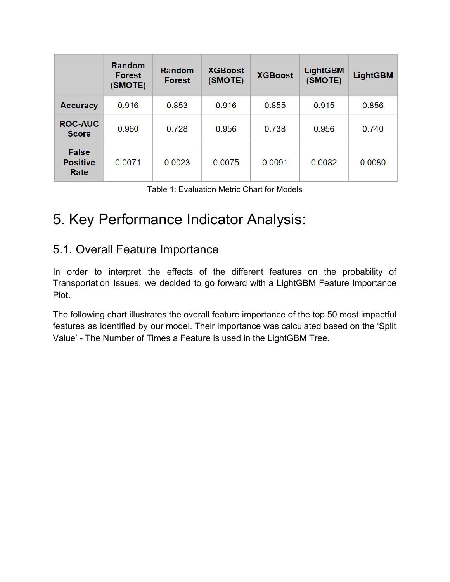|                                         | Random<br><b>Forest</b><br>(SMOTE) | Random<br><b>Forest</b> | <b>XGBoost</b><br>(SMOTE) | <b>XGBoost</b> | <b>LightGBM</b><br>(SMOTE) | <b>LightGBM</b> |
|-----------------------------------------|------------------------------------|-------------------------|---------------------------|----------------|----------------------------|-----------------|
| <b>Accuracy</b>                         | 0.916                              | 0.853                   | 0.916                     | 0.855          | 0.915                      | 0.856           |
| <b>ROC-AUC</b><br><b>Score</b>          | 0.960                              | 0.728                   | 0.956                     | 0.738          | 0.956                      | 0.740           |
| <b>False</b><br><b>Positive</b><br>Rate | 0.0071                             | 0.0023                  | 0.0075                    | 0.0091         | 0.0082                     | 0.0080          |

| Table 1: Evaluation Metric Chart for Models |  |  |  |
|---------------------------------------------|--|--|--|
|---------------------------------------------|--|--|--|

# <span id="page-15-0"></span>5. Key Performance Indicator Analysis:

## <span id="page-15-1"></span>5.1. Overall Feature Importance

In order to interpret the effects of the different features on the probability of Transportation Issues, we decided to go forward with a LightGBM Feature Importance Plot.

The following chart illustrates the overall feature importance of the top 50 most impactful features as identified by our model. Their importance was calculated based on the 'Split Value' - The Number of Times a Feature is used in the LightGBM Tree.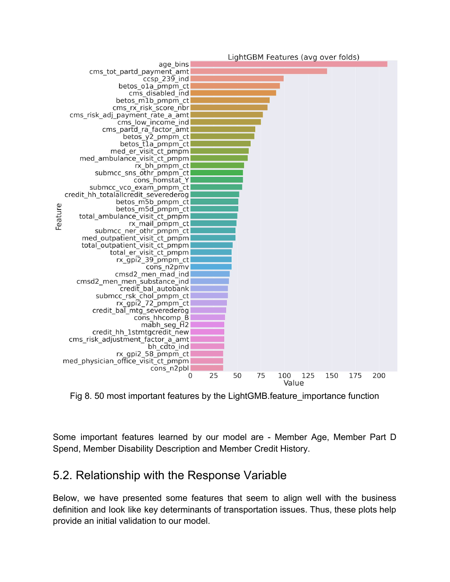

Fig 8. 50 most important features by the LightGMB.feature\_importance function

Some important features learned by our model are - Member Age, Member Part D Spend, Member Disability Description and Member Credit History.

## <span id="page-16-0"></span>5.2. Relationship with the Response Variable

Below, we have presented some features that seem to align well with the business definition and look like key determinants of transportation issues. Thus, these plots help provide an initial validation to our model.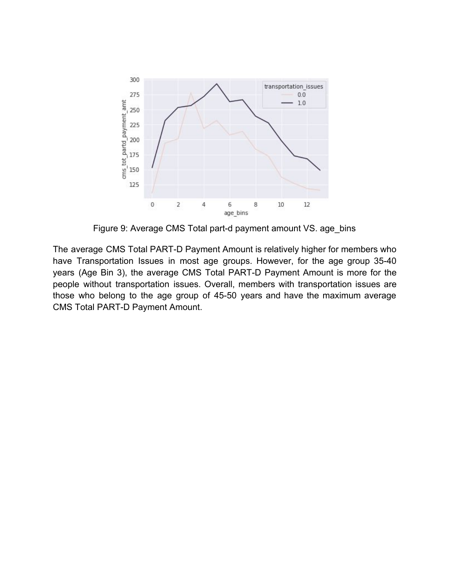

Figure 9: Average CMS Total part-d payment amount VS. age\_bins

The average CMS Total PART-D Payment Amount is relatively higher for members who have Transportation Issues in most age groups. However, for the age group 35-40 years (Age Bin 3), the average CMS Total PART-D Payment Amount is more for the people without transportation issues. Overall, members with transportation issues are those who belong to the age group of 45-50 years and have the maximum average CMS Total PART-D Payment Amount.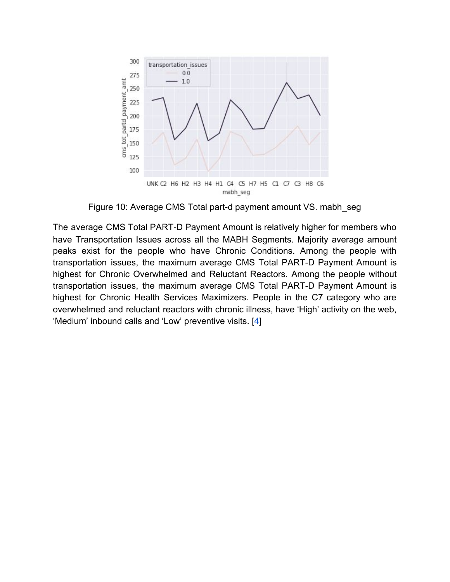

Figure 10: Average CMS Total part-d payment amount VS. mabh seg

The average CMS Total PART-D Payment Amount is relatively higher for members who have Transportation Issues across all the MABH Segments. Majority average amount peaks exist for the people who have Chronic Conditions. Among the people with transportation issues, the maximum average CMS Total PART-D Payment Amount is highest for Chronic Overwhelmed and Reluctant Reactors. Among the people without transportation issues, the maximum average CMS Total PART-D Payment Amount is highest for Chronic Health Services Maximizers. People in the C7 category who are overwhelmed and reluctant reactors with chronic illness, have 'High' activity on the web, 'Medium' inbound calls and 'Low' preventive visits. [[4](https://www.humana.com/learning-center/health-and-wellbeing/healthy-living/humana-goal)]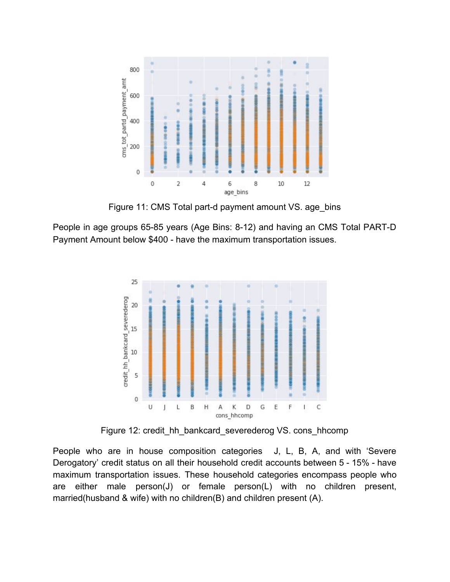![](_page_19_Figure_0.jpeg)

Figure 11: CMS Total part-d payment amount VS. age bins

People in age groups 65-85 years (Age Bins: 8-12) and having an CMS Total PART-D Payment Amount below \$400 - have the maximum transportation issues.

![](_page_19_Figure_3.jpeg)

Figure 12: credit\_hh\_bankcard\_severederog VS. cons\_hhcomp

People who are in house composition categories J, L, B, A, and with 'Severe Derogatory' credit status on all their household credit accounts between 5 - 15% - have maximum transportation issues. These household categories encompass people who are either male person(J) or female person(L) with no children present, married(husband & wife) with no children(B) and children present (A).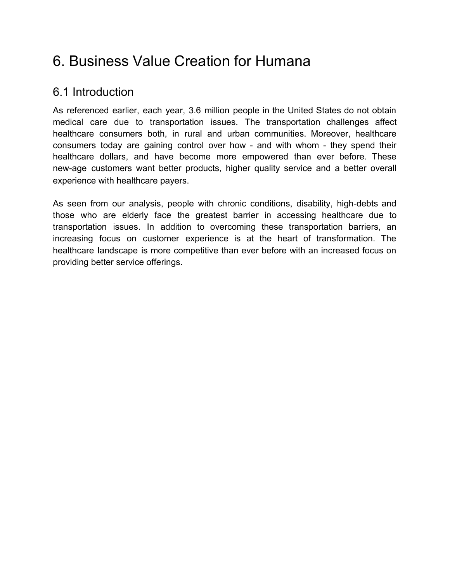# <span id="page-20-0"></span>6. Business Value Creation for Humana

## <span id="page-20-1"></span>6.1 Introduction

As referenced earlier, each year, 3.6 million people in the United States do not obtain medical care due to transportation issues. The transportation challenges affect healthcare consumers both, in rural and urban communities. Moreover, healthcare consumers today are gaining control over how - and with whom - they spend their healthcare dollars, and have become more empowered than ever before. These new-age customers want better products, higher quality service and a better overall experience with healthcare payers.

As seen from our analysis, people with chronic conditions, disability, high-debts and those who are elderly face the greatest barrier in accessing healthcare due to transportation issues. In addition to overcoming these transportation barriers, an increasing focus on customer experience is at the heart of transformation. The healthcare landscape is more competitive than ever before with an increased focus on providing better service offerings.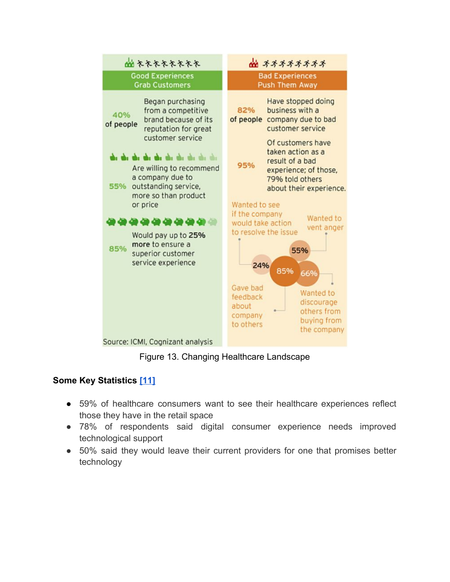![](_page_21_Figure_0.jpeg)

Figure 13. Changing Healthcare Landscape

### **Some Key Statistics [\[11\]](https://patientengagementhit.com/news/digital-health-tools-may-enhance-consumer-experience-in-healthcare)**

- 59% of healthcare consumers want to see their healthcare experiences reflect those they have in the retail space
- 78% of respondents said digital consumer experience needs improved technological support
- 50% said they would leave their current providers for one that promises better technology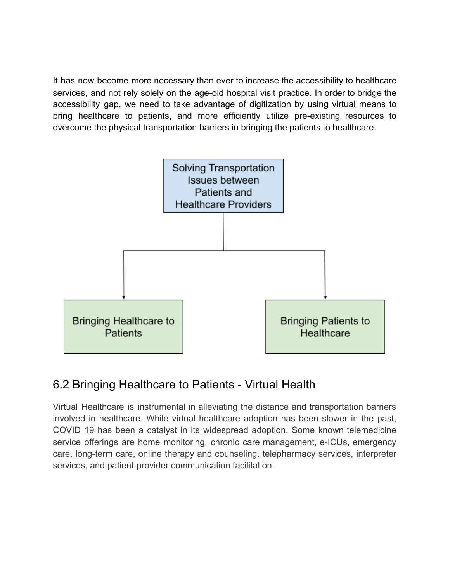It has now become more necessary than ever to increase the accessibility to healthcare services, and not rely solely on the age-old hospital visit practice. In order to bridge the accessibility gap, we need to take advantage of digitization by using virtual means to bring healthcare to patients, and more efficiently utilize pre-existing resources to overcome the physical transportation barriers in bringing the patients to healthcare.

![](_page_22_Figure_1.jpeg)

## <span id="page-22-0"></span>6.2 Bringing Healthcare to Patients - Virtual Health

Virtual Healthcare is instrumental in alleviating the distance and transportation barriers involved in healthcare. While virtual healthcare adoption has been slower in the past, COVID 19 has been a catalyst in its widespread adoption. Some known telemedicine service offerings are home monitoring, chronic care management, e-ICUs, emergency care, long-term care, online therapy and counseling, telepharmacy services, interpreter services, and patient-provider communication facilitation.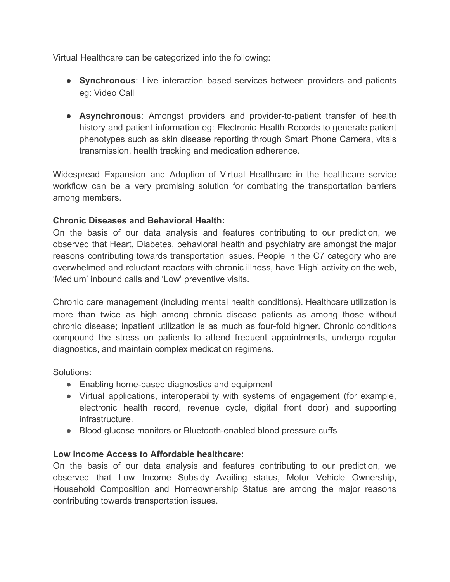Virtual Healthcare can be categorized into the following:

- **Synchronous**: Live interaction based services between providers and patients eg: Video Call
- **Asynchronous**: Amongst providers and provider-to-patient transfer of health history and patient information eg: Electronic Health Records to generate patient phenotypes such as skin disease reporting through Smart Phone Camera, vitals transmission, health tracking and medication adherence.

Widespread Expansion and Adoption of Virtual Healthcare in the healthcare service workflow can be a very promising solution for combating the transportation barriers among members.

#### **Chronic Diseases and Behavioral Health:**

On the basis of our data analysis and features contributing to our prediction, we observed that Heart, Diabetes, behavioral health and psychiatry are amongst the major reasons contributing towards transportation issues. People in the C7 category who are overwhelmed and reluctant reactors with chronic illness, have 'High' activity on the web, 'Medium' inbound calls and 'Low' preventive visits.

Chronic care management (including mental health conditions). Healthcare utilization is more than twice as high among chronic disease patients as among those without chronic disease; inpatient utilization is as much as four-fold higher. Chronic conditions compound the stress on patients to attend frequent appointments, undergo regular diagnostics, and maintain complex medication regimens.

Solutions:

- Enabling home-based diagnostics and equipment
- Virtual applications, interoperability with systems of engagement (for example, electronic health record, revenue cycle, digital front door) and supporting infrastructure.
- Blood glucose monitors or Bluetooth-enabled blood pressure cuffs

### **Low Income Access to Affordable healthcare:**

On the basis of our data analysis and features contributing to our prediction, we observed that Low Income Subsidy Availing status, Motor Vehicle Ownership, Household Composition and Homeownership Status are among the major reasons contributing towards transportation issues.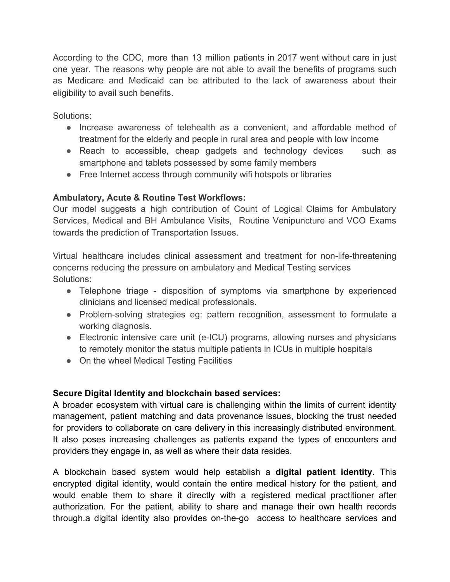According to the CDC, more than 13 million patients in 2017 went without care in just one year. The reasons why people are not able to avail the benefits of programs such as Medicare and Medicaid can be attributed to the lack of awareness about their eligibility to avail such benefits.

Solutions:

- Increase awareness of telehealth as a convenient, and affordable method of treatment for the elderly and people in rural area and people with low income
- Reach to accessible, cheap gadgets and technology devices such as smartphone and tablets possessed by some family members
- Free Internet access through community wifi hotspots or libraries

#### **Ambulatory, Acute & Routine Test Workflows:**

Our model suggests a high contribution of Count of Logical Claims for Ambulatory Services, Medical and BH Ambulance Visits, Routine Venipuncture and VCO Exams towards the prediction of Transportation Issues.

Virtual healthcare includes clinical assessment and treatment for non-life-threatening concerns reducing the pressure on ambulatory and Medical Testing services Solutions:

- Telephone triage disposition of symptoms via smartphone by experienced clinicians and licensed medical professionals.
- Problem-solving strategies eg: pattern recognition, assessment to formulate a working diagnosis.
- Electronic intensive care unit (e-ICU) programs, allowing nurses and physicians to remotely monitor the status multiple patients in ICUs in multiple hospitals
- On the wheel Medical Testing Facilities

#### **Secure Digital Identity and blockchain based services:**

A broader ecosystem with virtual care is challenging within the limits of current identity management, patient matching and data provenance issues, blocking the trust needed for providers to collaborate on care delivery in this increasingly distributed environment. It also poses increasing challenges as patients expand the types of encounters and providers they engage in, as well as where their data resides.

A blockchain based system would help establish a **digital patient identity.** This encrypted digital identity, would contain the entire medical history for the patient, and would enable them to share it directly with a registered medical practitioner after authorization. For the patient, ability to share and manage their own health records through.a digital identity also provides on-the-go access to healthcare services and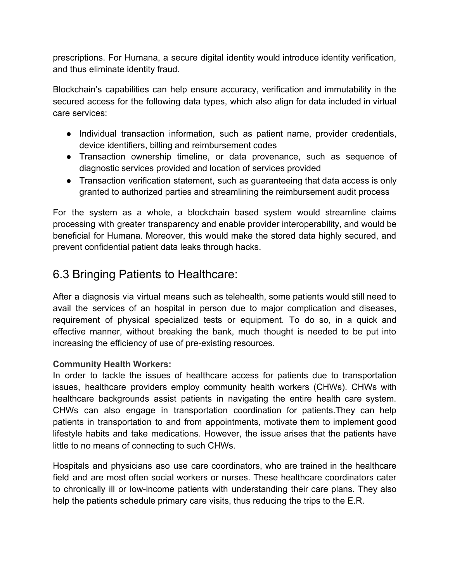prescriptions. For Humana, a secure digital identity would introduce identity verification, and thus eliminate identity fraud.

Blockchain's capabilities can help ensure accuracy, verification and immutability in the secured access for the following data types, which also align for data included in virtual care services:

- Individual transaction information, such as patient name, provider credentials, device identifiers, billing and reimbursement codes
- Transaction ownership timeline, or data provenance, such as sequence of diagnostic services provided and location of services provided
- Transaction verification statement, such as guaranteeing that data access is only granted to authorized parties and streamlining the reimbursement audit process

For the system as a whole, a blockchain based system would streamline claims processing with greater transparency and enable provider interoperability, and would be beneficial for Humana. Moreover, this would make the stored data highly secured, and prevent confidential patient data leaks through hacks.

## <span id="page-25-0"></span>6.3 Bringing Patients to Healthcare:

After a diagnosis via virtual means such as telehealth, some patients would still need to avail the services of an hospital in person due to major complication and diseases, requirement of physical specialized tests or equipment. To do so, in a quick and effective manner, without breaking the bank, much thought is needed to be put into increasing the efficiency of use of pre-existing resources.

### **Community Health Workers:**

In order to tackle the issues of healthcare access for patients due to transportation issues, healthcare providers employ community health workers (CHWs). CHWs with healthcare backgrounds assist patients in navigating the entire health care system. CHWs can also engage in transportation coordination for patients.They can help patients in transportation to and from appointments, motivate them to implement good lifestyle habits and take medications. However, the issue arises that the patients have little to no means of connecting to such CHWs.

Hospitals and physicians aso use care coordinators, who are trained in the healthcare field and are most often social workers or nurses. These healthcare coordinators cater to chronically ill or low-income patients with understanding their care plans. They also help the patients schedule primary care visits, thus reducing the trips to the E.R.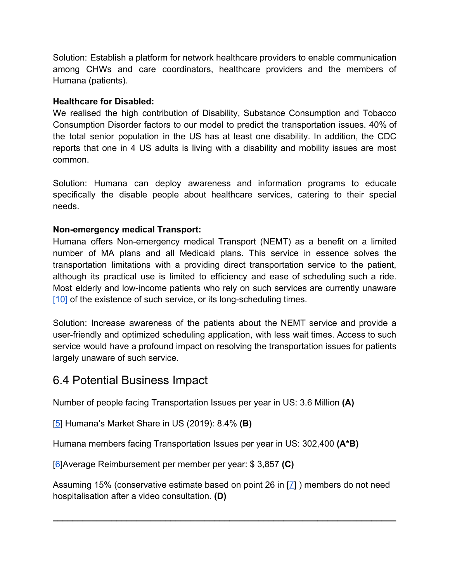Solution: Establish a platform for network healthcare providers to enable communication among CHWs and care coordinators, healthcare providers and the members of Humana (patients).

#### **Healthcare for Disabled:**

We realised the high contribution of Disability, Substance Consumption and Tobacco Consumption Disorder factors to our model to predict the transportation issues. 40% of the total senior population in the US has at least one disability. In addition, the CDC reports that one in 4 US adults is living with a disability and mobility issues are most common.

Solution: Humana can deploy awareness and information programs to educate specifically the disable people about healthcare services, catering to their special needs.

#### **Non-emergency medical Transport:**

Humana offers Non-emergency medical Transport (NEMT) as a benefit on a limited number of MA plans and all Medicaid plans. This service in essence solves the transportation limitations with a providing direct transportation service to the patient, although its practical use is limited to efficiency and ease of scheduling such a ride. Most elderly and low-income patients who rely on such services are currently unaware [\[10\]](https://www.theatlantic.com/health/archive/2015/08/the-transportation-barrier/399728/) of the existence of such service, or its long-scheduling times.

Solution: Increase awareness of the patients about the NEMT service and provide a user-friendly and optimized scheduling application, with less wait times. Access to such service would have a profound impact on resolving the transportation issues for patients largely unaware of such service.

## <span id="page-26-0"></span>6.4 Potential Business Impact

Number of people facing Transportation Issues per year in US: 3.6 Million **(A)**

[\[5](https://www.statista.com/statistics/216518/leading-us-health-insurance-groups-in-the-us/)] Humana's Market Share in US (2019): 8.4% **(B)**

Humana members facing Transportation Issues per year in US: 302,400 **(A\*B)**

[\[6](https://www.cms.gov/Research-Statistics-Data-and-Systems/Statistics-Trends-and-Reports/NationalHealthExpendData/NHE-Fact-Sheet)]Average Reimbursement per member per year: \$ 3,857 **(C)**

Assuming 15% (conservative estimate based on point 26 in [[7](https://blog.evisit.com/virtual-care-blog/36-telemedicine-statistics-know)] ) members do not need hospitalisation after a video consultation. **(D)**

**\_\_\_\_\_\_\_\_\_\_\_\_\_\_\_\_\_\_\_\_\_\_\_\_\_\_\_\_\_\_\_\_\_\_\_\_\_\_\_\_\_\_\_\_\_\_\_\_\_\_\_\_\_\_\_\_\_\_\_\_\_\_\_\_\_\_\_\_\_\_**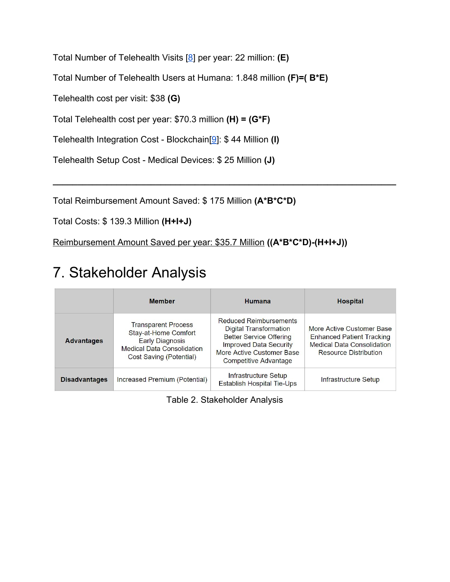Total Number of Telehealth Visits [[8](https://www.statista.com/statistics/820756/number-of-telehealth-visits-in-us/)] per year: 22 million: **(E)**

Total Number of Telehealth Users at Humana: 1.848 million **(F)=( B\*E)**

Telehealth cost per visit: \$38 **(G)**

Total Telehealth cost per year: \$70.3 million **(H) = (G\*F)**

Telehealth Integration Cost - Blockchain[[9\]](https://hitinfrastructure.com/news/blockchain-could-save-80-of-cost-time-in-physician-credentialing): \$ 44 Million **(I)**

Telehealth Setup Cost - Medical Devices: \$ 25 Million **(J)**

Total Reimbursement Amount Saved: \$ 175 Million **(A\*B\*C\*D)**

Total Costs: \$ 139.3 Million **(H+I+J)**

Reimbursement Amount Saved per year: \$35.7 Million **((A\*B\*C\*D)-(H+I+J))**

# <span id="page-27-0"></span>7. Stakeholder Analysis

|                      | <b>Member</b>                                                                                                                                | Humana                                                                                                                                                                                  | <b>Hospital</b>                                                                                                                    |
|----------------------|----------------------------------------------------------------------------------------------------------------------------------------------|-----------------------------------------------------------------------------------------------------------------------------------------------------------------------------------------|------------------------------------------------------------------------------------------------------------------------------------|
| <b>Advantages</b>    | <b>Transparent Process</b><br>Stay-at-Home Comfort<br><b>Early Diagnosis</b><br><b>Medical Data Consolidation</b><br>Cost Saving (Potential) | <b>Reduced Reimbursements</b><br>Digital Transformation<br><b>Better Service Offering</b><br><b>Improved Data Security</b><br>More Active Customer Base<br><b>Competitive Advantage</b> | More Active Customer Base<br><b>Enhanced Patient Tracking</b><br><b>Medical Data Consolidation</b><br><b>Resource Distribution</b> |
| <b>Disadvantages</b> | Increased Premium (Potential)                                                                                                                | Infrastructure Setup<br>Establish Hospital Tie-Ups                                                                                                                                      | Infrastructure Setup                                                                                                               |

**\_\_\_\_\_\_\_\_\_\_\_\_\_\_\_\_\_\_\_\_\_\_\_\_\_\_\_\_\_\_\_\_\_\_\_\_\_\_\_\_\_\_\_\_\_\_\_\_\_\_\_\_\_\_\_\_\_\_\_\_\_\_\_\_\_\_\_\_\_\_**

Table 2. Stakeholder Analysis